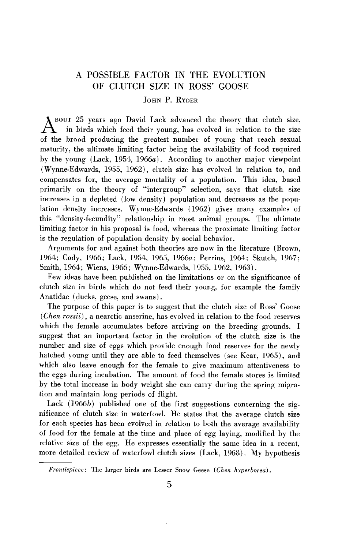# **A POSSIBLE FACTOR IN THE EVOLUTION OF CLUTCH SIZE IN ROSS' GOOSE**

## **JOHN P. RYDER**

**BOUT 25 years ago David Lack advanced the theory that clutch size, A in birds which feed their young, has evolved in relation to the size of the brood producing the greatest number of young that reach sexual maturity, the ultimate limiting factor being the availability of food required**  by the young (Lack, 1954, 1966a). According to another major viewpoint **(Wynne-Edwards, 1955, 1962), clutch size has evolved in relation to, and compensates for, the average mortality of a population. This idea, based primarily on the theory of "intergroup" selection, says that clutch size increases in a depleted (low density) population and decreases as the population density increases. Wynne-Edwards (1962) gives many examples of this "density-fecundity" relationship in most animal groups. The ultimate limiting factor in his proposal is food, whereas the proximate limiting factor is the regulation of population density by social behavior.** 

**Arguments for and against both theories are now in the literature (Brown,**  1964; Cody, 1966; Lack, 1954, 1965, 1966a; Perrins, 1964; Skutch, 1967; **Smith, 1964; Wiens, 1966; Wynne-Edwards, 1955, 1962, 1963).** 

**Few ideas have been published on the limitations or on the significance of clutch size in birds which do not feed their young, for example the family Anatidae (ducks, geese, and swans).** 

The purpose of this paper is to suggest that the clutch size of Ross' Goose *(Chen rossii)*, a nearctic anserine, has evolved in relation to the food reserves **which the female accumulates before arriving on the breeding grounds. I suggest that an important factor in the evolution of the clutch size is the number and size of eggs which provide enough food reserves for the newly hatched young until they are able to feed themselves (see Kear, 1965), and which also leave enough for the female to give maximum attentiveness to**  the eggs during incubation. The amount of food the female stores is limited **by the total increase in body weight she can carry during the spring migration and maintain long periods of flight.** 

Lack (1966b) published one of the first suggestions concerning the sig**nificance of clutch size in waterfowl. He states that the average clutch size for each species has been evolved in relation to both the average availability of food for the female at the time and place of egg laying, modified by the relative size of the egg. He expresses essentially the same idea in a recent,**  more detailed review of waterfowl clutch sizes (Lack, 1968). My hypothesis

Frontispiece: The larger birds are Lesser Snow Geese (Chen hyperborea).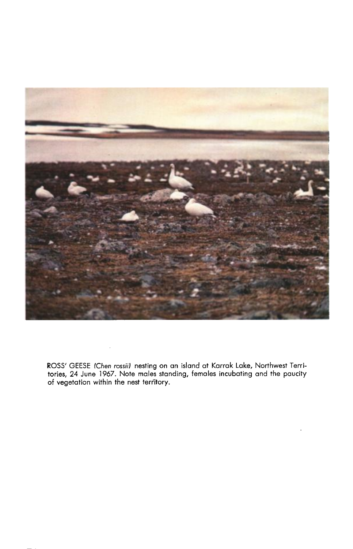

**ROSS' GEESE fChen rossiii nesting on an island at Karrak Lake, Northwest Territories, 24 June 1967. Note males standing, females incubating and the paucity of vegetation within the nest teriitory.** 

 $\bar{z}$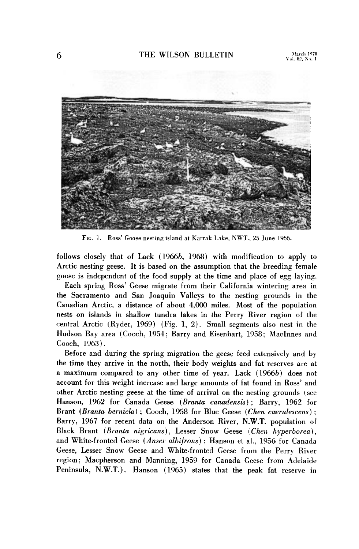

**FIG. 1. Ross' Goose nesting island at Karrak Lake, NWT., 25 June 1966.** 

**follows closely that of Lack (1966b, 1968) with modification to apply to Arctic nesting geese. It is based on the assumption that the breeding female goose is independent of the food supply at the time and place of egg laying.** 

**Each spring Ross' Geese migrate from their California wintering area in the Sacramento and San Joaquin Valleys to the nesting grounds in the Canadian Arctic, a distance of about 4,000 miles. Most of the population nests on islands in shallow tundra lakes in the Perry River region of the central Arctic (Ryder, 1969) (Fig. 1, 2). Small segments also nest in the**  Hudson Bay area (Cooch, 1954; Barry and Eisenhart, 1958; MacInnes and **Coach, 1963).** 

**Before and during the spring migration the geese feed extensively and by the time they arrive in the north, their body weights and fat reserves are at a maximum compared to any other time of year. Lack (1966b) does not account for this weight increase and large amounts of fat found in Ross' and other Arctic nesting geese at the time of arrival on the nesting grounds (see**  Hanson, 1962 for Canada Geese (Branta canadensis); Barry, 1962 for **Brant (Branta bernicla)**; Cooch, 1958 for Blue Geese (Chen caerulescens); **Barry, 1967 for recent data on the Anderson River, N.W.T. population of**  Black Brant (Branta nigricans), Lesser Snow Geese (Chen hyperborea), **and White-fronted Geese (Anser dbifrons) ; Hanson et al., 1956 for Canada Geese, Lesser Snow Geese and White-fronted Geese from the Perry River region; Macpherson and Manning, 1959 for Canada Geese from Adelaide Peninsula, N.W.T.). Hanson (1965) states that the peak fat reserve in**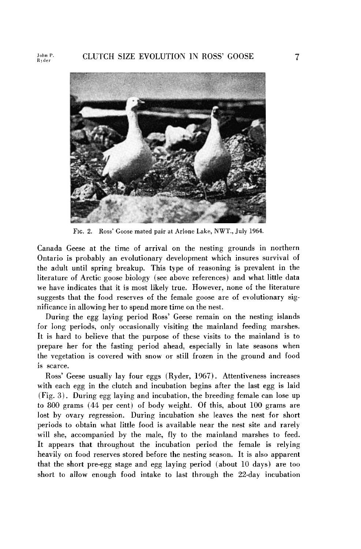

**FIG. 2. Ross' Goose mated pair at Arlone Lake, NWT., July 1964.** 

**Canada Geese at the time of arrival on the nesting grounds in northern Ontario is probably an evolutionary development which insures survival of the adult until spring breakup. This type of reasoning is prevalent in the literature of Arctic goose biology (see above references) and what little data we have indicates that it is most likely true. However, none of the literature suggests that the food reserves of the female goose are of evolutionary significance in allowing her to spend more time on the nest.** 

**During the egg laying period Ross' Geese remain on the nesting islands for long periods, only occasionally visiting the mainland feeding marshes. It is hard to believe that the purpose of these visits to the mainland is to prepare her for the fasting period ahead, especially in late seasons when the vegetation is covered with snow or still frozen in the ground and food is scarce.** 

**Ross' Geese usually lay four eggs (Ryder, 1967). Attentiveness increases with each egg in the clutch and incubation begins after the last egg is laid (Fig. 3). During egg laying and incubation, the breeding female can lose up to 800 grams (44 per cent) of body weight. Of this, about 100 grams are lost by ovary regression. During incubation she leaves the nest for short periods to obtain what little food is available near the nest site and rarely will she, accompanied by the male, fly to the mainland marshes to feed. It appears that throughout the incubation period the female is relying heavily on food reserves stored before the nesting season. It is also apparent that the short pre-egg stage and egg laying period (about 10 days) are too short to allow enough food intake to last through the 22-day incubation**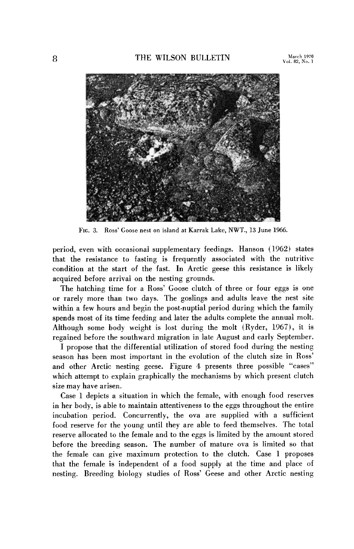

FIG. 3. Ross' Goose nest on island at Karrak Lake, NWT., 13 June 1966.

**period, even with occasional supplementary feedings. Hanson (1962) states that the resistance to fasting is frequently associated with the nutritive condition at the start of the fast. In Arctic geese this resistance is likely acquired before arrival on the nesting grounds.** 

**The hatching time for a Ross' Goose clutch of three or four eggs is one or rarely more than two days. The goslings and adults leave the nest site within a few hours and begin the post-nuptial period during which the family spends most of its time feeding and later the adults complete the annual molt. Although some body weight is lost during the molt (Ryder, 1967), it is regained before the southward migration in late August and early September.** 

**I propose that the differential utilization of stored food during the nesting season has been most important in the evolution of the clutch size in Ross' and other Arctic nesting geese. Figure 4 presents three possible "cases" which attempt to explain graphically the mechanisms by which present clutch size may have arisen.** 

**Case 1 depicts a situation in which the female, with enough food reserves in her body, is able to maintain attentiveness to the eggs throughout the entire incubation period. Concurrently, the ova are supplied with a sufficient food reserve for the young until they are able to feed themselves. The total reserve allocated to the female and to the eggs is limited by the amount stored**  before the breeding season. The number of mature ova is limited so that **the female can give maximum protection to the clutch. Case 1 proposes that the female is independent of a food supply at the time and place of nesting. Breeding biology studies of Ross' Geese and other Arctic nesting**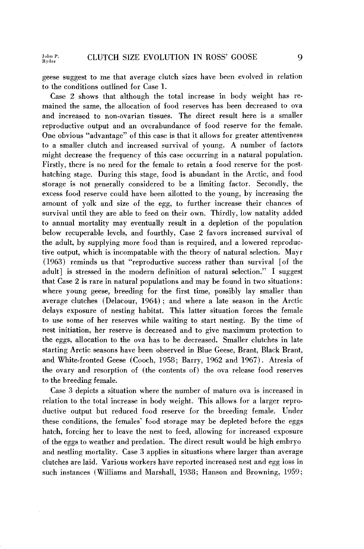**geese suggest to me that average clutch sizes have been evolved in relation to the conditions outlined for Case 1.** 

**Case 2 shows that although the total increase in body weight has remained the same, the allocation of food reserves has been decreased to ova and increased to non-ovarian tissues. ' The direct result here is a smaller reproductive output and an overabundance of food reserve for the female. One obvious "advantage" of this case is that it allows for greater attentiveness to a smaller clutch and increased survival of young. A number of factors might decrease the frequency of this case occurring in a natural population. Firstly, there is no need for the female to retain a food reserve for the posthatching stage. During this stage, food is abundant in the Arctic, and food storage is not generally considered to be a limiting factor. Secondly, the excess food reserve could have been allotted to the young, by increasing the amount of yolk and size of the egg, to further increase their chances of survival until they are able to feed on their own. Thirdly, low natality added to annual mortality may eventually result in a depletion of the population below recuperable levels, and fourthly, Case 2 favors increased survival of the adult, by supplying more food than is required, and a lowered reproductive output, which is incompatable with the theory of natural selection. Mayr (1963) reminds us that "reproductive success rather than survival [of the adult] is stressed in the modern definition of natural selection." I suggest that Case 2 is rare in natural populations and may be found in two situations:**  where young geese, breeding for the first time, possibly lay smaller than **average clutches (Delacour, 1964) ; and where a late season in the Arctic delays exposure of nesting habitat. This latter situation forces the female to use some of her reserves while waiting to start nesting. By the time of nest initiation, her reserve is decreased and to give maximum protection to the eggs, allocation to the ova has to be decreased. Smaller clutches in late starting Arctic seasons have been observed in Blue Geese, Brant, Black Brant,**  and White-fronted Geese (Cooch, 1958; Barry, 1962 and 1967). Atresia of **the ovary and resorption of (the contents of) the ova release food reserves to the breeding female.** 

**Case 3 depicts a situation where the number of mature ova is increased in relation to the total increase in body weight. This allows for a larger reproductive output but reduced food reserve for the breeding female. Under these conditions, the females' food storage may be depleted before the eggs hatch, forcing her to leave the nest to feed, allowing for increased exposure of the eggs to weather and predation. The direct result would be high embryo and nestling mortality. Case 3 applies in situations where larger than average clutches are laid. Various workers have reported increased nest and egg loss in such instances (Williams and Marshall, 1938; Hanson and Browning, 1959;**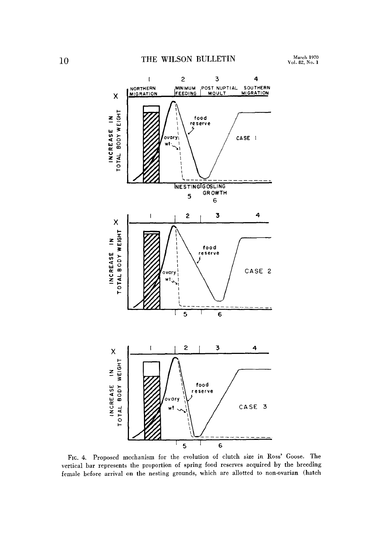

**FIG. 4. Proposed mechanism for the evolution of clutch size in Ross' Goose. The vertical bar represents the proportion of spring food reserves acquired by the breeding female before arrival on the nesting grounds, which are allotted to non-ovarian (hatch**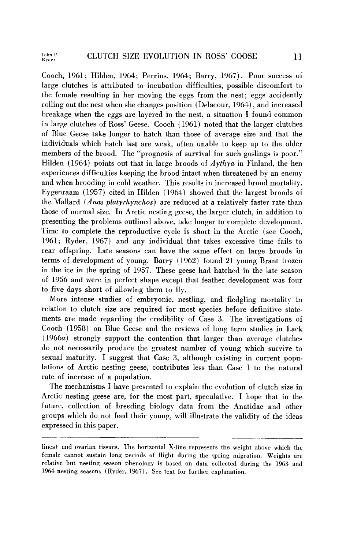**Coach, 1961; Hilden, 1964; Perrins, 1964; Barry, 1967). Poor success of large clutches is attributed to incubation difficulties, possible discomfort to the female resulting in her moving the eggs from the nest; eggs accidently rolling out the nest when she changes position (Delacour, 1964), and increased breakage when the eggs are layered in the nest, a situation I found common**  in large clutches of Ross' Geese. Cooch (1961) noted that the larger clutches **of Blue Geese take longer to hatch than those of average size and that the individuals which hatch last are weak, often unable to keep up to the older members of the brood. The "prognosis of survival for such goslings is poor." Hilden (1964) points out that in large broods of Aythya in Finland, the hen experiences difficulties keeping the brood intact when threatened by an enemy and when brooding in cold weather. This results in increased brood mortality.**  Eygenraam (1957) cited in Hilden (1964) showed that the largest broods of **the Mallard (Anas platyrhynchos) are reduced at a relatively faster rate than**  those of normal size. In Arctic nesting geese, the larger clutch, in addition to **presenting the problems outlined above, take longer to complete development.**  Time to complete the reproductive cycle is short in the Arctic (see Cooch, **1961; Ryder, 1967) and any individual that takes excessive time fails to rear offspring. Late seasons can have the same effect on large broods in terms of development of young. Barry (1962) found 21 young Brant frozen in the ice in the spring of 1957. These geese had hatched in the late season of 1956 and were in perfect shape except that feather development was four to five days short of allowing them to fly.** 

**More intense studies of embryonic, nestling, and fledgling mortality in relation to clutch size are required for most species before definitive statements are made regarding the credibility of Case 3. The investigations of Coach (1958) on Blue Geese and the reviews of long term studies in Lack**  (1966*a*) strongly support the contention that larger than average clutches **do not necessarily produce the greatest number of young which survive to sexual maturity. I suggest that Case 3, although existing in current populations of Arctic nesting geese, contributes less than Case 1 to the natural rate of increase of a population.** 

**The mechanisms I have presented to explain the evolution of clutch size in Arctic nesting geese are, for the most part, speculative. I hope that in the future, collection of breeding biology data from the Anatidae and other**  groups which do not feed their young, will illustrate the validity of the ideas **expressed in this paper.** 

**lines) and ovarian tissues. The horizontal X-line represents the weight above which the female cannot sustain long periods of flight during the spring migration. Weights are relative but nesting season phenology is based on data collected during the 1963 and 1964 nesting seasons (Ryder, 1967). See text for further explanation.**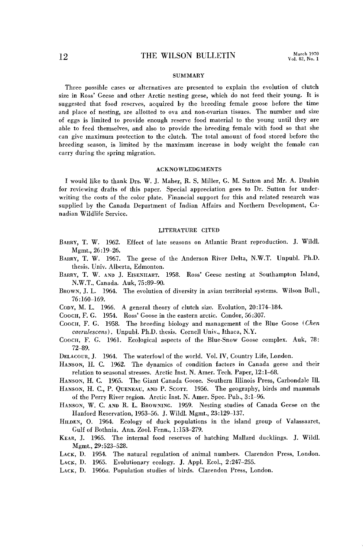### **SUMMARY**

**Three possible cases or alternatives are presented to explain the evolution of clutch size in Ross' Geese and other Arctic nesting geese, which do not feed their young. It is suggested that food reserves, acquired by the breeding female goose before the time and place of nesting, are allotted to ova and non-ovarian tissues. The number and size of eggs is limited to provide enough reserve food material to the young until they are able to feed themselves, and also to provide the breeding female with food so that she can give maximum protection to the clutch. The total amount of food stored before the breeding season, is limited by the maximum increase in body weight the female can carry during the spring migration.** 

### **ACKNOWLEDGMENTS**

**I would like to thank Drs. W. J. Maher, R. S. Miller, G. M. Sutton and Mr. A. Dzubin for reviewing drafts of this paper. Special appreciation goes to Dr. Sutton for underwriting the costs of the color plate. Financial support for this and related research was supplied by the Canada Department of Indian Affairs and Northern Development, Canadian Wildlife Service.** 

#### **LITERATURE CITED**

- BARRY, T. W. 1962. Effect of late seasons on Atlantic Brant reproduction. J. Wildl. **Mgmt., 26:19-26.**
- BARRY, T. W. 1967. The geese of the Anderson River Delta, N.W.T. Unpubl. Ph.D. **thesis. Univ. Alberta, Edmonton.**
- **BARRY, T. W. AND J. EISENHART. 1958. Ross' Geese nesting at Southampton Island, N.W.T., Canada. Auk, 75:89-PO.**
- **BROWN, J. L. 1964. The evolution of diversity in avian territorial systems. Wilson Bull., 76 :160-169.**
- **CODY, M. L. 1966. A general theory of clutch size. Evolution, 20:174-184.**
- **COOCH, F. G. 1954. Ross' Goose in the eastern arctic. Condor, 56:307.**
- COOCH, F. G. 1958. The breeding biology and management of the Blue Goose (Chen **caerulescens). Unpubl. Ph.D. thesis. Cornell Univ., Ithaca, N.Y.**
- **COOCH, F. G. 1961. Ecological aspects of the Blue-Snow Goose complex. Auk, 78: 72-89.**
- **DELACOUR, J. 1964. The waterfowl of the world. Vol. IV, Country Life, London.**
- **HANSON, H. C. 1962. The dynamics of condition factors in Canada geese and their relation to seasonal stresses. Arctic Inst. N. Amer. Tech. Paper, 12:1-68.**
- **HANSON, H. C. 1965. The Giant Canada Goose. Southern Illinois Press, Carbondale Ill.**
- **HANSON, H. C., P. QUENEAU, AND P. SCOTT. 1956. The geography, birds and mammals of the Perry River region. Arctic Inst. N. Amer. Spec. Pub., 3:1-96.**
- **HANSON, W. C. AND R. L. BROWNING. 1959. Nesting studies of Canada Geese on the Hanford Reservation, 1953-56. J. Wildl. Mgmt., 23:129-137.**
- **HILDEN, 0. 1964. Ecology of duck populations in the island group of Valassaaret, Gulf of Bothnia. Ann. Zool. Fenn., 1:153-279.**
- **KEAR, J. 1965. The internal food reserves of hatching Mallard ducklings. J. Wildl. Mgmt., 29:523-528.**
- **LACK, D. 1954. The natural regulation of animal numbers. Clarendon Press, London. LACK, D. 1965. Evolutionary ecology. J. Appl. Ecol., 2:247-255.**
- **LACK, D. 1966a. Population studies of birds. Clarendon Press, London.**